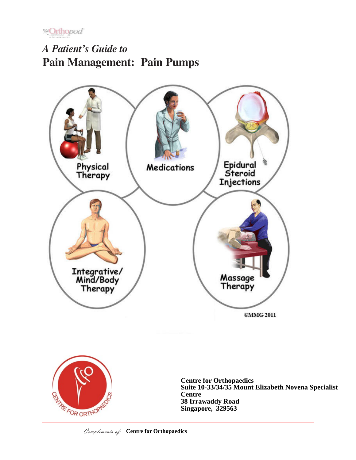# *A Patient's Guide to* **Pain Management: Pain Pumps**





**Centre for Orthopaedics Suite 10-33/34/35 Mount Elizabeth Novena Specialist Centre 38 Irrawaddy Road Singapore, 329563**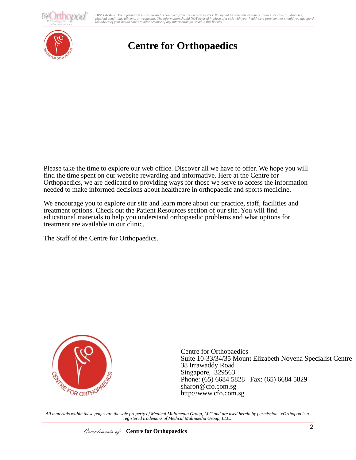**O**pod

adments or realments. The information should ivertise used in place of a visit with your net<br>ealth care provider because of any information you read in this booklet. DISCLAIMER: The information in this booklet is compiled from a variety of sources. It may not be complete or timely. It does not cover all diseases,<br>physical conditions, ailments or treatments. The information yould NOT be



## **Centre for Orthopaedics**

Please take the time to explore our web office. Discover all we have to offer. We hope you will find the time spent on our website rewarding and informative. Here at the Centre for Orthopaedics, we are dedicated to providing ways for those we serve to access the information needed to make informed decisions about healthcare in orthopaedic and sports medicine.

We encourage you to explore our site and learn more about our practice, staff, facilities and treatment options. Check out the Patient Resources section of our site. You will find educational materials to help you understand orthopaedic problems and what options for treatment are available in our clinic.

The Staff of the Centre for Orthopaedics.



Centre for Orthopaedics Suite 10-33/34/35 Mount Elizabeth Novena Specialist Centre 38 Irrawaddy Road Singapore, 329563 Phone: (65) 6684 5828 Fax: (65) 6684 5829 sharon@cfo.com.sg http://www.cfo.com.sg

*All materials within these pages are the sole property of Medical Multimedia Group, LLC and are used herein by permission. eOrthopod is a registered trademark of Medical Multimedia Group, LLC.*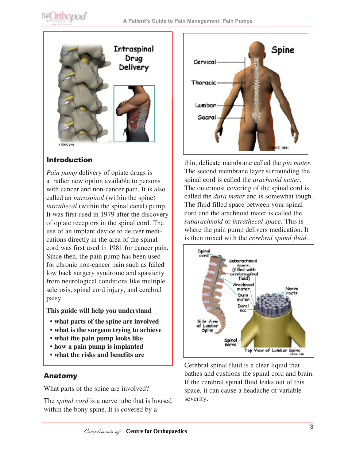



## Introduction

*Pain pump* delivery of opiate drugs is a rather new option available to persons with cancer and non-cancer pain. It is also called an *intraspinal* (within the spine) *intrathecal* (within the spinal canal) pump. It was first used in 1979 after the discovery of opiate receptors in the spinal cord. The use of an implant device to deliver medications directly in the area of the spinal cord was first used in 1981 for cancer pain. Since then, the pain pump has been used for chronic non-cancer pain such as failed low back surgery syndrome and spasticity from neurological conditions like multiple sclerosis, spinal cord injury, and cerebral palsy.

#### **This guide will help you understand**

- **what parts of the spine are involved**
- **what is the surgeon trying to achieve**
- **what the pain pump looks like**
- **how a pain pump is implanted**
- **what the risks and benefits are**

#### Anatomy

What parts of the spine are involved?

The *spinal cord* is a nerve tube that is housed within the bony spine. It is covered by a



thin, delicate membrane called the *pia mater*. The second membrane layer surrounding the spinal cord is called the *arachnoid mater*. The outermost covering of the spinal cord is called the *dura mater* and is somewhat tough. The fluid filled space between your spinal cord and the arachnoid mater is called the *subarachnoid* or *intrathecal space*. This is where the pain pump delivers medication. It is then mixed with the *cerebral spinal fluid*.



Cerebral spinal fluid is a clear liquid that bathes and cushions the spinal cord and brain. If the cerebral spinal fluid leaks out of this space, it can cause a headache of variable severity.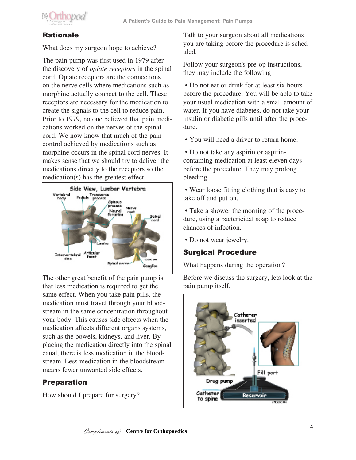

## Rationale

What does my surgeon hope to achieve?

The pain pump was first used in 1979 after the discovery of *opiate receptors* in the spinal cord. Opiate receptors are the connections on the nerve cells where medications such as morphine actually connect to the cell. These receptors are necessary for the medication to create the signals to the cell to reduce pain. Prior to 1979, no one believed that pain medications worked on the nerves of the spinal cord. We now know that much of the pain control achieved by medications such as morphine occurs in the spinal cord nerves. It makes sense that we should try to deliver the medications directly to the receptors so the medication(s) has the greatest effect.



The other great benefit of the pain pump is that less medication is required to get the same effect. When you take pain pills, the medication must travel through your bloodstream in the same concentration throughout your body. This causes side effects when the medication affects different organs systems, such as the bowels, kidneys, and liver. By placing the medication directly into the spinal canal, there is less medication in the bloodstream. Less medication in the bloodstream means fewer unwanted side effects.

## Preparation

How should I prepare for surgery?

Talk to your surgeon about all medications you are taking before the procedure is scheduled.

Follow your surgeon's pre-op instructions, they may include the following

 • Do not eat or drink for at least six hours before the procedure. You will be able to take your usual medication with a small amount of water. If you have diabetes, do not take your insulin or diabetic pills until after the procedure.

• You will need a driver to return home.

 • Do not take any aspirin or aspirincontaining medication at least eleven days before the procedure. They may prolong bleeding.

 • Wear loose fitting clothing that is easy to take off and put on.

 • Take a shower the morning of the procedure, using a bactericidal soap to reduce chances of infection.

• Do not wear jewelry.

## Surgical Procedure

What happens during the operation?

Before we discuss the surgery, lets look at the pain pump itself.

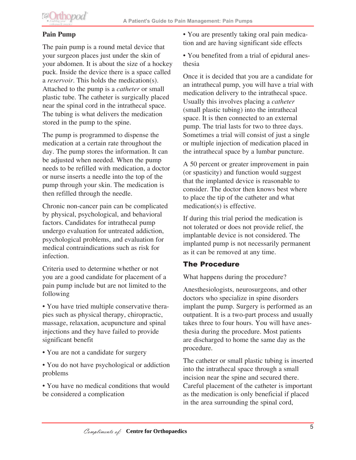

#### **Pain Pump**

The pain pump is a round metal device that your surgeon places just under the skin of your abdomen. It is about the size of a hockey puck. Inside the device there is a space called a *reservoir*. This holds the medication(s). Attached to the pump is a *catheter* or small plastic tube. The catheter is surgically placed near the spinal cord in the intrathecal space. The tubing is what delivers the medication stored in the pump to the spine.

The pump is programmed to dispense the medication at a certain rate throughout the day. The pump stores the information. It can be adjusted when needed. When the pump needs to be refilled with medication, a doctor or nurse inserts a needle into the top of the pump through your skin. The medication is then refilled through the needle.

Chronic non-cancer pain can be complicated by physical, psychological, and behavioral factors. Candidates for intrathecal pump undergo evaluation for untreated addiction, psychological problems, and evaluation for medical contraindications such as risk for infection.

Criteria used to determine whether or not you are a good candidate for placement of a pain pump include but are not limited to the following

• You have tried multiple conservative therapies such as physical therapy, chiropractic, massage, relaxation, acupuncture and spinal injections and they have failed to provide significant benefit

- You are not a candidate for surgery
- You do not have psychological or addiction problems

• You have no medical conditions that would be considered a complication

• You are presently taking oral pain medication and are having significant side effects

• You benefited from a trial of epidural anesthesia

Once it is decided that you are a candidate for an intrathecal pump, you will have a trial with medication delivery to the intrathecal space. Usually this involves placing a *catheter* (small plastic tubing) into the intrathecal space. It is then connected to an external pump. The trial lasts for two to three days. Sometimes a trial will consist of just a single or multiple injection of medication placed in the intrathecal space by a lumbar puncture.

A 50 percent or greater improvement in pain (or spasticity) and function would suggest that the implanted device is reasonable to consider. The doctor then knows best where to place the tip of the catheter and what medication(s) is effective.

If during this trial period the medication is not tolerated or does not provide relief, the implantable device is not considered. The implanted pump is not necessarily permanent as it can be removed at any time.

## The Procedure

What happens during the procedure?

Anesthesiologists, neurosurgeons, and other doctors who specialize in spine disorders implant the pump. Surgery is performed as an outpatient. It is a two-part process and usually takes three to four hours. You will have anesthesia during the procedure. Most patients are discharged to home the same day as the procedure.

The catheter or small plastic tubing is inserted into the intrathecal space through a small incision near the spine and secured there. Careful placement of the catheter is important as the medication is only beneficial if placed in the area surrounding the spinal cord,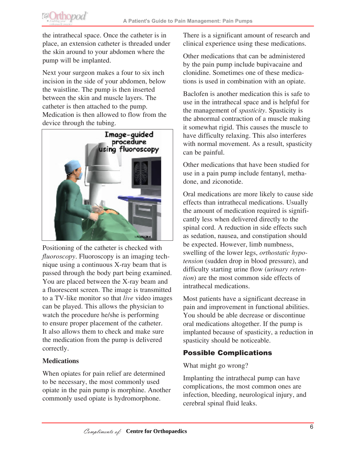

the intrathecal space. Once the catheter is in place, an extension catheter is threaded under the skin around to your abdomen where the pump will be implanted.

Next your surgeon makes a four to six inch incision in the side of your abdomen, below the waistline. The pump is then inserted between the skin and muscle layers. The catheter is then attached to the pump. Medication is then allowed to flow from the device through the tubing.



Positioning of the catheter is checked with *fluoroscopy*. Fluoroscopy is an imaging technique using a continuous X-ray beam that is passed through the body part being examined. You are placed between the X-ray beam and a fluorescent screen. The image is transmitted to a TV-like monitor so that *live* video images can be played. This allows the physician to watch the procedure he/she is performing to ensure proper placement of the catheter. It also allows them to check and make sure the medication from the pump is delivered correctly.

#### **Medications**

When opiates for pain relief are determined to be necessary, the most commonly used opiate in the pain pump is morphine. Another commonly used opiate is hydromorphone.

There is a significant amount of research and clinical experience using these medications.

Other medications that can be administered by the pain pump include bupivacaine and clonidine. Sometimes one of these medications is used in combination with an opiate.

Baclofen is another medication this is safe to use in the intrathecal space and is helpful for the management of *spasticity*. Spasticity is the abnormal contraction of a muscle making it somewhat rigid. This causes the muscle to have difficulty relaxing. This also interferes with normal movement. As a result, spasticity can be painful.

Other medications that have been studied for use in a pain pump include fentanyl, methadone, and ziconotide.

Oral medications are more likely to cause side effects than intrathecal medications. Usually the amount of medication required is significantly less when delivered directly to the spinal cord. A reduction in side effects such as sedation, nausea, and constipation should be expected. However, limb numbness, swelling of the lower legs, *orthostatic hypotension* (sudden drop in blood pressure), and difficulty starting urine flow (*urinary retention*) are the most common side effects of intrathecal medications.

Most patients have a significant decrease in pain and improvement in functional abilities. You should be able decrease or discontinue oral medications altogether. If the pump is implanted because of spasticity, a reduction in spasticity should be noticeable.

## Possible Complications

#### What might go wrong?

Implanting the intrathecal pump can have complications, the most common ones are infection, bleeding, neurological injury, and cerebral spinal fluid leaks.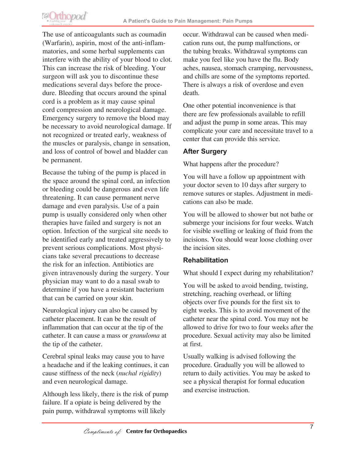

The use of anticoagulants such as coumadin (Warfarin), aspirin, most of the anti-inflammatories, and some herbal supplements can interfere with the ability of your blood to clot. This can increase the risk of bleeding. Your surgeon will ask you to discontinue these medications several days before the procedure. Bleeding that occurs around the spinal cord is a problem as it may cause spinal cord compression and neurological damage. Emergency surgery to remove the blood may be necessary to avoid neurological damage. If not recognized or treated early, weakness of the muscles or paralysis, change in sensation, and loss of control of bowel and bladder can be permanent.

Because the tubing of the pump is placed in the space around the spinal cord, an infection or bleeding could be dangerous and even life threatening. It can cause permanent nerve damage and even paralysis. Use of a pain pump is usually considered only when other therapies have failed and surgery is not an option. Infection of the surgical site needs to be identified early and treated aggressively to prevent serious complications. Most physicians take several precautions to decrease the risk for an infection. Antibiotics are given intravenously during the surgery. Your physician may want to do a nasal swab to determine if you have a resistant bacterium that can be carried on your skin.

Neurological injury can also be caused by catheter placement. It can be the result of inflammation that can occur at the tip of the catheter. It can cause a mass or *granuloma* at the tip of the catheter.

Cerebral spinal leaks may cause you to have a headache and if the leaking continues, it can cause stiffness of the neck (*nuchal rigidity*) and even neurological damage.

Although less likely, there is the risk of pump failure. If a opiate is being delivered by the pain pump, withdrawal symptoms will likely

occur. Withdrawal can be caused when medication runs out, the pump malfunctions, or the tubing breaks. Withdrawal symptoms can make you feel like you have the flu. Body aches, nausea, stomach cramping, nervousness, and chills are some of the symptoms reported. There is always a risk of overdose and even death.

One other potential inconvenience is that there are few professionals available to refill and adjust the pump in some areas. This may complicate your care and necessitate travel to a center that can provide this service.

#### **After Surgery**

What happens after the procedure?

You will have a follow up appointment with your doctor seven to 10 days after surgery to remove sutures or staples. Adjustment in medications can also be made.

You will be allowed to shower but not bathe or submerge your incisions for four weeks. Watch for visible swelling or leaking of fluid from the incisions. You should wear loose clothing over the incision sites.

#### **Rehabilitation**

What should I expect during my rehabilitation?

You will be asked to avoid bending, twisting, stretching, reaching overhead, or lifting objects over five pounds for the first six to eight weeks. This is to avoid movement of the catheter near the spinal cord. You may not be allowed to drive for two to four weeks after the procedure. Sexual activity may also be limited at first.

Usually walking is advised following the procedure. Gradually you will be allowed to return to daily activities. You may be asked to see a physical therapist for formal education and exercise instruction.